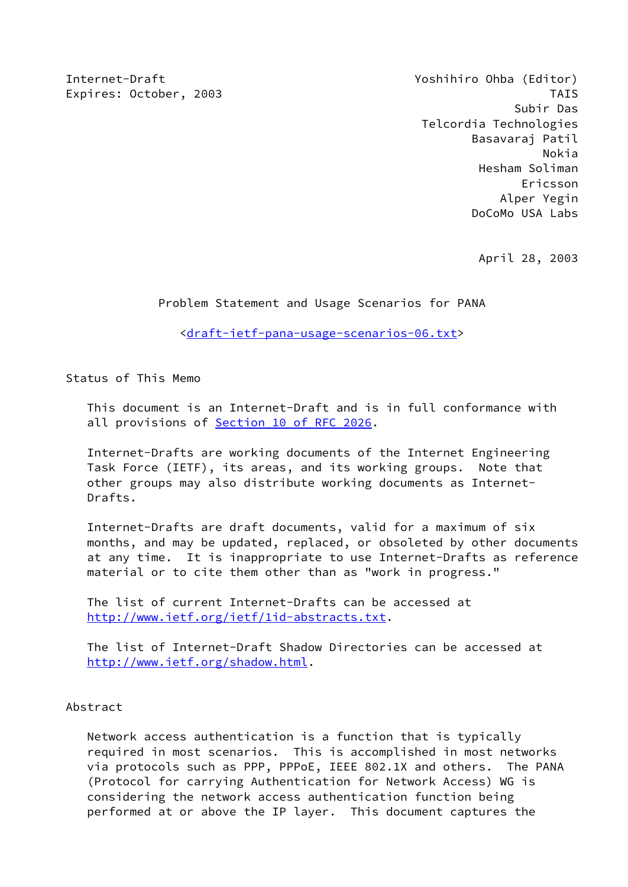Internet-Draft Yoshihiro Ohba (Editor) Expires: October, 2003 TAIS Subir Das Telcordia Technologies Basavaraj Patil Nokia Hesham Soliman Ericsson Alper Yegin DoCoMo USA Labs

April 28, 2003

Problem Statement and Usage Scenarios for PANA

[<draft-ietf-pana-usage-scenarios-06.txt](https://datatracker.ietf.org/doc/pdf/draft-ietf-pana-usage-scenarios-06.txt)>

Status of This Memo

 This document is an Internet-Draft and is in full conformance with all provisions of **Section [10 of RFC 2026](https://datatracker.ietf.org/doc/pdf/rfc2026#section-10)**.

 Internet-Drafts are working documents of the Internet Engineering Task Force (IETF), its areas, and its working groups. Note that other groups may also distribute working documents as Internet- Drafts.

 Internet-Drafts are draft documents, valid for a maximum of six months, and may be updated, replaced, or obsoleted by other documents at any time. It is inappropriate to use Internet-Drafts as reference material or to cite them other than as "work in progress."

 The list of current Internet-Drafts can be accessed at <http://www.ietf.org/ietf/1id-abstracts.txt>.

 The list of Internet-Draft Shadow Directories can be accessed at <http://www.ietf.org/shadow.html>.

Abstract

 Network access authentication is a function that is typically required in most scenarios. This is accomplished in most networks via protocols such as PPP, PPPoE, IEEE 802.1X and others. The PANA (Protocol for carrying Authentication for Network Access) WG is considering the network access authentication function being performed at or above the IP layer. This document captures the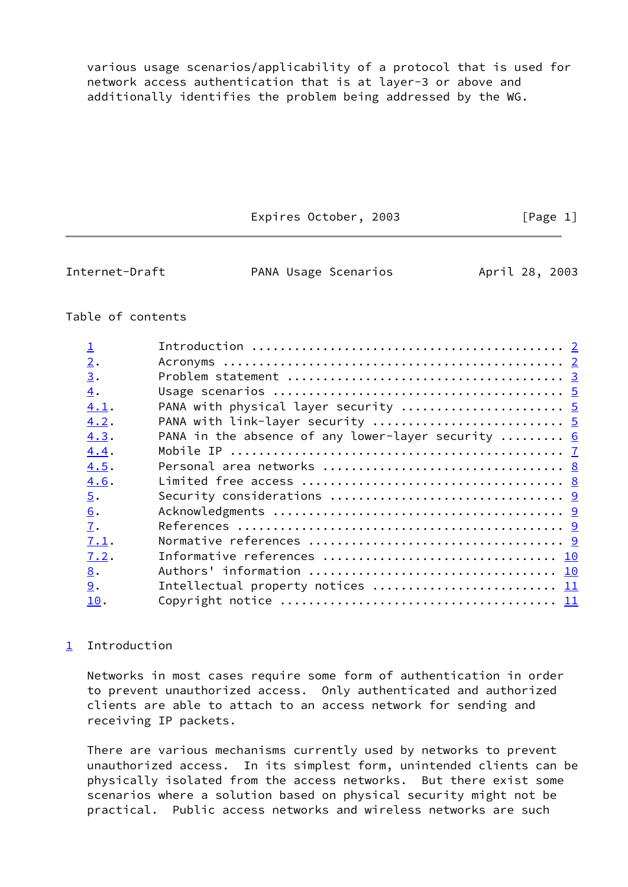various usage scenarios/applicability of a protocol that is used for network access authentication that is at layer-3 or above and additionally identifies the problem being addressed by the WG.

Expires October, 2003 [Page 1]

<span id="page-1-1"></span>Internet-Draft **PANA Usage Scenarios** April 28, 2003

# Table of contents

| $\mathsf1$        |                                                                     |  |
|-------------------|---------------------------------------------------------------------|--|
| $\overline{2}$ .  |                                                                     |  |
| $\underline{3}$ . |                                                                     |  |
| $\overline{4}$ .  |                                                                     |  |
| 4.1.              | PANA with physical layer security  5                                |  |
| 4.2.              |                                                                     |  |
| 4.3.              | PANA in the absence of any lower-layer security $\dots \dots \dots$ |  |
| 4.4.              |                                                                     |  |
| 4.5.              |                                                                     |  |
| 4.6.              |                                                                     |  |
| $\overline{5}$ .  |                                                                     |  |
| 6.                |                                                                     |  |
| 7.                |                                                                     |  |
| 7.1.              |                                                                     |  |
| 7.2.              |                                                                     |  |
| 8.                |                                                                     |  |
| 9.                | Intellectual property notices  11                                   |  |
| 10.               |                                                                     |  |
|                   |                                                                     |  |

# <span id="page-1-0"></span>[1](#page-1-0) Introduction

 Networks in most cases require some form of authentication in order to prevent unauthorized access. Only authenticated and authorized clients are able to attach to an access network for sending and receiving IP packets.

 There are various mechanisms currently used by networks to prevent unauthorized access. In its simplest form, unintended clients can be physically isolated from the access networks. But there exist some scenarios where a solution based on physical security might not be practical. Public access networks and wireless networks are such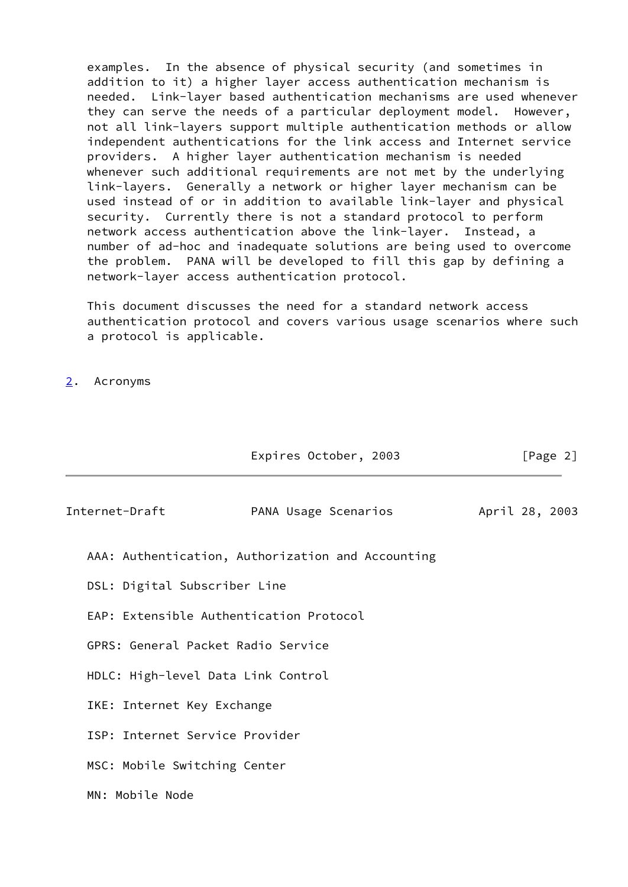examples. In the absence of physical security (and sometimes in addition to it) a higher layer access authentication mechanism is needed. Link-layer based authentication mechanisms are used whenever they can serve the needs of a particular deployment model. However, not all link-layers support multiple authentication methods or allow independent authentications for the link access and Internet service providers. A higher layer authentication mechanism is needed whenever such additional requirements are not met by the underlying link-layers. Generally a network or higher layer mechanism can be used instead of or in addition to available link-layer and physical security. Currently there is not a standard protocol to perform network access authentication above the link-layer. Instead, a number of ad-hoc and inadequate solutions are being used to overcome the problem. PANA will be developed to fill this gap by defining a network-layer access authentication protocol.

 This document discusses the need for a standard network access authentication protocol and covers various usage scenarios where such a protocol is applicable.

<span id="page-2-0"></span>[2](#page-2-0). Acronyms

<span id="page-2-1"></span>

|                                         | Expires October, 2003                             | [Page 2]       |
|-----------------------------------------|---------------------------------------------------|----------------|
| Internet-Draft                          | PANA Usage Scenarios                              | April 28, 2003 |
|                                         | AAA: Authentication, Authorization and Accounting |                |
| DSL: Digital Subscriber Line            |                                                   |                |
| EAP: Extensible Authentication Protocol |                                                   |                |
| GPRS: General Packet Radio Service      |                                                   |                |
| HDLC: High-level Data Link Control      |                                                   |                |
| IKE: Internet Key Exchange              |                                                   |                |
| ISP: Internet Service Provider          |                                                   |                |
| MSC: Mobile Switching Center            |                                                   |                |
| MN: Mobile Node                         |                                                   |                |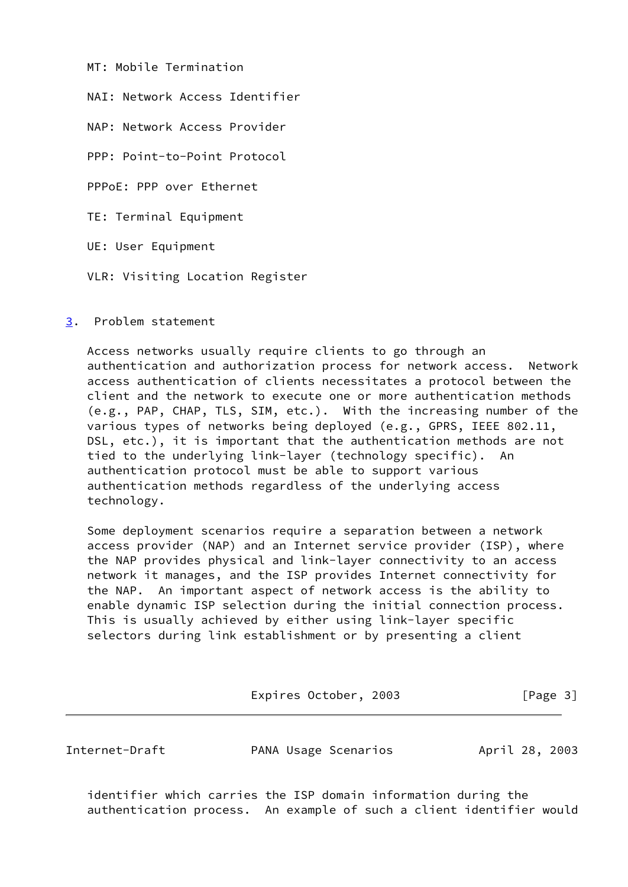MT: Mobile Termination

NAI: Network Access Identifier

NAP: Network Access Provider

PPP: Point-to-Point Protocol

PPPoE: PPP over Ethernet

TE: Terminal Equipment

UE: User Equipment

VLR: Visiting Location Register

<span id="page-3-0"></span>[3](#page-3-0). Problem statement

 Access networks usually require clients to go through an authentication and authorization process for network access. Network access authentication of clients necessitates a protocol between the client and the network to execute one or more authentication methods (e.g., PAP, CHAP, TLS, SIM, etc.). With the increasing number of the various types of networks being deployed (e.g., GPRS, IEEE 802.11, DSL, etc.), it is important that the authentication methods are not tied to the underlying link-layer (technology specific). An authentication protocol must be able to support various authentication methods regardless of the underlying access technology.

 Some deployment scenarios require a separation between a network access provider (NAP) and an Internet service provider (ISP), where the NAP provides physical and link-layer connectivity to an access network it manages, and the ISP provides Internet connectivity for the NAP. An important aspect of network access is the ability to enable dynamic ISP selection during the initial connection process. This is usually achieved by either using link-layer specific selectors during link establishment or by presenting a client

Expires October, 2003 [Page 3]

Internet-Draft **PANA Usage Scenarios** April 28, 2003

 identifier which carries the ISP domain information during the authentication process. An example of such a client identifier would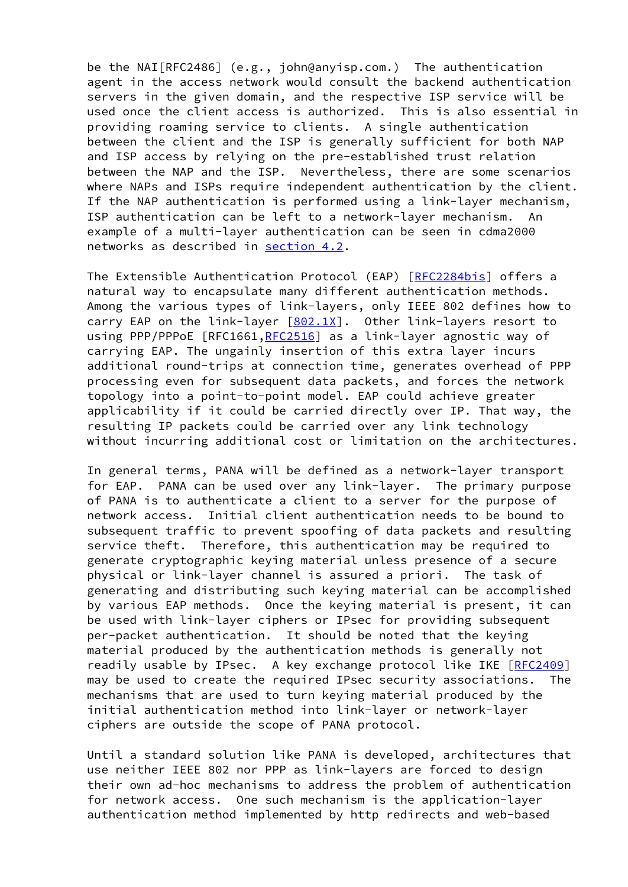be the NAI[RFC2486] (e.g., john@anyisp.com.) The authentication agent in the access network would consult the backend authentication servers in the given domain, and the respective ISP service will be used once the client access is authorized. This is also essential in providing roaming service to clients. A single authentication between the client and the ISP is generally sufficient for both NAP and ISP access by relying on the pre-established trust relation between the NAP and the ISP. Nevertheless, there are some scenarios where NAPs and ISPs require independent authentication by the client. If the NAP authentication is performed using a link-layer mechanism, ISP authentication can be left to a network-layer mechanism. An example of a multi-layer authentication can be seen in cdma2000 networks as described in [section 4.2](#page-6-0).

 The Extensible Authentication Protocol (EAP) [\[RFC2284bis\]](#page-11-4) offers a natural way to encapsulate many different authentication methods. Among the various types of link-layers, only IEEE 802 defines how to carry EAP on the link-layer  $[802.1X]$  $[802.1X]$ . Other link-layers resort to using PPP/PPPoE [RFC1661[,RFC2516](https://datatracker.ietf.org/doc/pdf/rfc2516)] as a link-layer agnostic way of carrying EAP. The ungainly insertion of this extra layer incurs additional round-trips at connection time, generates overhead of PPP processing even for subsequent data packets, and forces the network topology into a point-to-point model. EAP could achieve greater applicability if it could be carried directly over IP. That way, the resulting IP packets could be carried over any link technology without incurring additional cost or limitation on the architectures.

 In general terms, PANA will be defined as a network-layer transport for EAP. PANA can be used over any link-layer. The primary purpose of PANA is to authenticate a client to a server for the purpose of network access. Initial client authentication needs to be bound to subsequent traffic to prevent spoofing of data packets and resulting service theft. Therefore, this authentication may be required to generate cryptographic keying material unless presence of a secure physical or link-layer channel is assured a priori. The task of generating and distributing such keying material can be accomplished by various EAP methods. Once the keying material is present, it can be used with link-layer ciphers or IPsec for providing subsequent per-packet authentication. It should be noted that the keying material produced by the authentication methods is generally not readily usable by IPsec. A key exchange protocol like IKE [[RFC2409\]](https://datatracker.ietf.org/doc/pdf/rfc2409) may be used to create the required IPsec security associations. The mechanisms that are used to turn keying material produced by the initial authentication method into link-layer or network-layer ciphers are outside the scope of PANA protocol.

 Until a standard solution like PANA is developed, architectures that use neither IEEE 802 nor PPP as link-layers are forced to design their own ad-hoc mechanisms to address the problem of authentication for network access. One such mechanism is the application-layer authentication method implemented by http redirects and web-based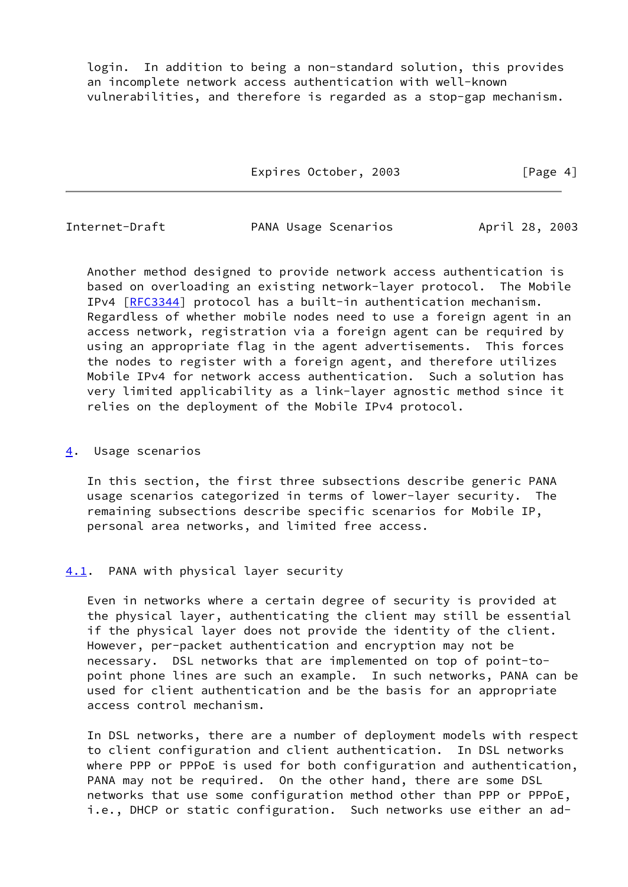login. In addition to being a non-standard solution, this provides an incomplete network access authentication with well-known vulnerabilities, and therefore is regarded as a stop-gap mechanism.

Expires October, 2003 [Page 4]

<span id="page-5-1"></span>Internet-Draft **PANA Usage Scenarios** April 28, 2003

 Another method designed to provide network access authentication is based on overloading an existing network-layer protocol. The Mobile IPv4 [\[RFC3344](https://datatracker.ietf.org/doc/pdf/rfc3344)] protocol has a built-in authentication mechanism. Regardless of whether mobile nodes need to use a foreign agent in an access network, registration via a foreign agent can be required by using an appropriate flag in the agent advertisements. This forces the nodes to register with a foreign agent, and therefore utilizes Mobile IPv4 for network access authentication. Such a solution has very limited applicability as a link-layer agnostic method since it relies on the deployment of the Mobile IPv4 protocol.

## <span id="page-5-0"></span>[4](#page-5-0). Usage scenarios

 In this section, the first three subsections describe generic PANA usage scenarios categorized in terms of lower-layer security. The remaining subsections describe specific scenarios for Mobile IP, personal area networks, and limited free access.

## <span id="page-5-2"></span>[4.1](#page-5-2). PANA with physical layer security

 Even in networks where a certain degree of security is provided at the physical layer, authenticating the client may still be essential if the physical layer does not provide the identity of the client. However, per-packet authentication and encryption may not be necessary. DSL networks that are implemented on top of point-to point phone lines are such an example. In such networks, PANA can be used for client authentication and be the basis for an appropriate access control mechanism.

 In DSL networks, there are a number of deployment models with respect to client configuration and client authentication. In DSL networks where PPP or PPPoE is used for both configuration and authentication, PANA may not be required. On the other hand, there are some DSL networks that use some configuration method other than PPP or PPPoE, i.e., DHCP or static configuration. Such networks use either an ad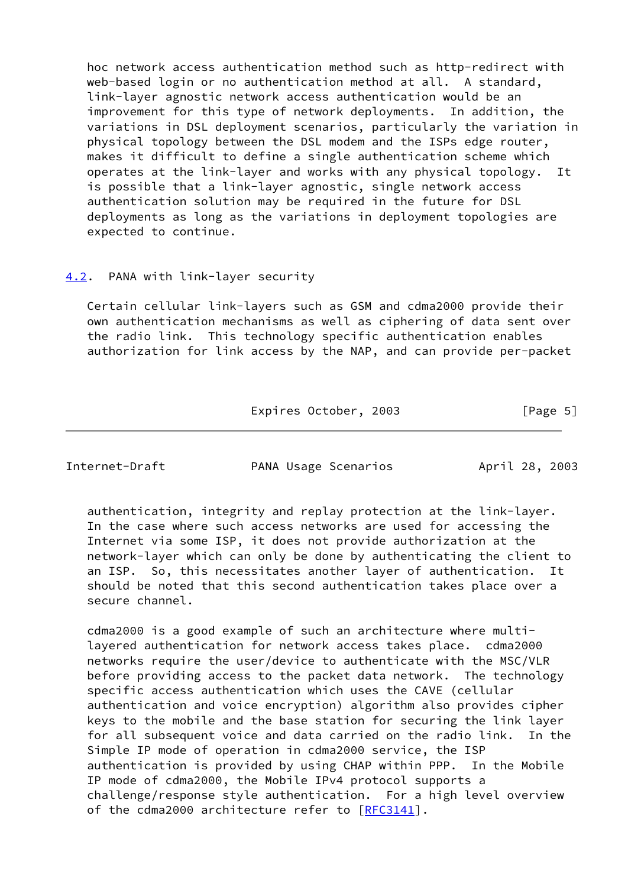hoc network access authentication method such as http-redirect with web-based login or no authentication method at all. A standard, link-layer agnostic network access authentication would be an improvement for this type of network deployments. In addition, the variations in DSL deployment scenarios, particularly the variation in physical topology between the DSL modem and the ISPs edge router, makes it difficult to define a single authentication scheme which operates at the link-layer and works with any physical topology. It is possible that a link-layer agnostic, single network access authentication solution may be required in the future for DSL deployments as long as the variations in deployment topologies are expected to continue.

## <span id="page-6-0"></span>[4.2](#page-6-0). PANA with link-layer security

 Certain cellular link-layers such as GSM and cdma2000 provide their own authentication mechanisms as well as ciphering of data sent over the radio link. This technology specific authentication enables authorization for link access by the NAP, and can provide per-packet

Expires October, 2003 [Page 5]

<span id="page-6-1"></span>Internet-Draft **PANA Usage Scenarios** April 28, 2003

 authentication, integrity and replay protection at the link-layer. In the case where such access networks are used for accessing the Internet via some ISP, it does not provide authorization at the network-layer which can only be done by authenticating the client to an ISP. So, this necessitates another layer of authentication. It should be noted that this second authentication takes place over a secure channel.

 cdma2000 is a good example of such an architecture where multi layered authentication for network access takes place. cdma2000 networks require the user/device to authenticate with the MSC/VLR before providing access to the packet data network. The technology specific access authentication which uses the CAVE (cellular authentication and voice encryption) algorithm also provides cipher keys to the mobile and the base station for securing the link layer for all subsequent voice and data carried on the radio link. In the Simple IP mode of operation in cdma2000 service, the ISP authentication is provided by using CHAP within PPP. In the Mobile IP mode of cdma2000, the Mobile IPv4 protocol supports a challenge/response style authentication. For a high level overview of the cdma2000 architecture refer to [[RFC3141](https://datatracker.ietf.org/doc/pdf/rfc3141)].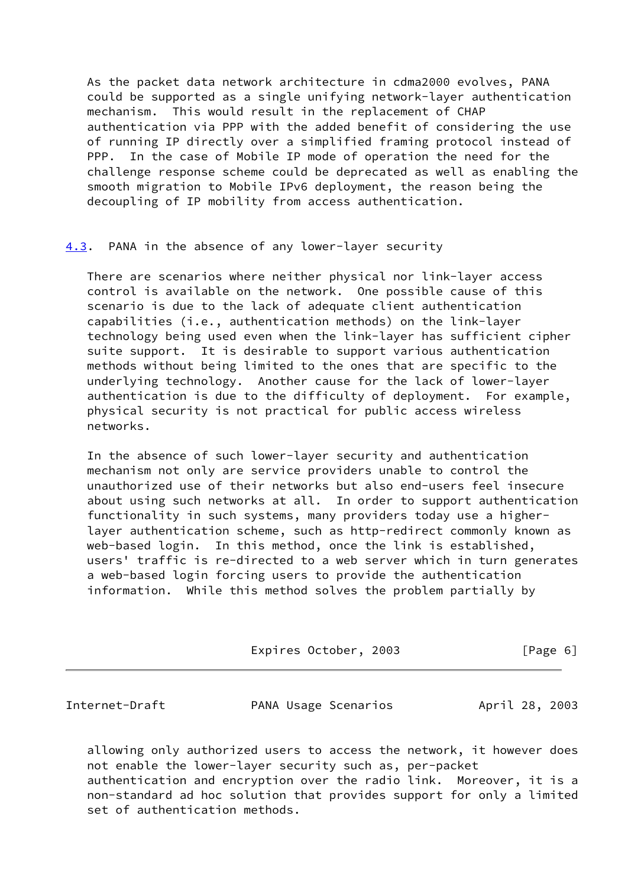As the packet data network architecture in cdma2000 evolves, PANA could be supported as a single unifying network-layer authentication mechanism. This would result in the replacement of CHAP authentication via PPP with the added benefit of considering the use of running IP directly over a simplified framing protocol instead of PPP. In the case of Mobile IP mode of operation the need for the challenge response scheme could be deprecated as well as enabling the smooth migration to Mobile IPv6 deployment, the reason being the decoupling of IP mobility from access authentication.

<span id="page-7-0"></span>[4.3](#page-7-0). PANA in the absence of any lower-layer security

 There are scenarios where neither physical nor link-layer access control is available on the network. One possible cause of this scenario is due to the lack of adequate client authentication capabilities (i.e., authentication methods) on the link-layer technology being used even when the link-layer has sufficient cipher suite support. It is desirable to support various authentication methods without being limited to the ones that are specific to the underlying technology. Another cause for the lack of lower-layer authentication is due to the difficulty of deployment. For example, physical security is not practical for public access wireless networks.

 In the absence of such lower-layer security and authentication mechanism not only are service providers unable to control the unauthorized use of their networks but also end-users feel insecure about using such networks at all. In order to support authentication functionality in such systems, many providers today use a higher layer authentication scheme, such as http-redirect commonly known as web-based login. In this method, once the link is established, users' traffic is re-directed to a web server which in turn generates a web-based login forcing users to provide the authentication information. While this method solves the problem partially by

Expires October, 2003 [Page 6]

<span id="page-7-1"></span>Internet-Draft PANA Usage Scenarios April 28, 2003

 allowing only authorized users to access the network, it however does not enable the lower-layer security such as, per-packet authentication and encryption over the radio link. Moreover, it is a non-standard ad hoc solution that provides support for only a limited set of authentication methods.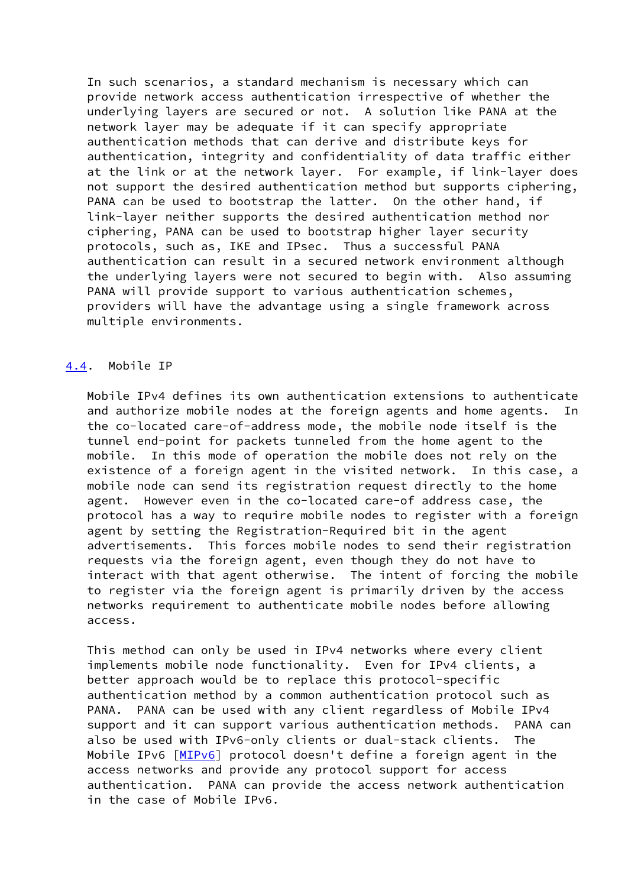In such scenarios, a standard mechanism is necessary which can provide network access authentication irrespective of whether the underlying layers are secured or not. A solution like PANA at the network layer may be adequate if it can specify appropriate authentication methods that can derive and distribute keys for authentication, integrity and confidentiality of data traffic either at the link or at the network layer. For example, if link-layer does not support the desired authentication method but supports ciphering, PANA can be used to bootstrap the latter. On the other hand, if link-layer neither supports the desired authentication method nor ciphering, PANA can be used to bootstrap higher layer security protocols, such as, IKE and IPsec. Thus a successful PANA authentication can result in a secured network environment although the underlying layers were not secured to begin with. Also assuming PANA will provide support to various authentication schemes, providers will have the advantage using a single framework across multiple environments.

#### <span id="page-8-0"></span>[4.4](#page-8-0). Mobile IP

 Mobile IPv4 defines its own authentication extensions to authenticate and authorize mobile nodes at the foreign agents and home agents. In the co-located care-of-address mode, the mobile node itself is the tunnel end-point for packets tunneled from the home agent to the mobile. In this mode of operation the mobile does not rely on the existence of a foreign agent in the visited network. In this case, a mobile node can send its registration request directly to the home agent. However even in the co-located care-of address case, the protocol has a way to require mobile nodes to register with a foreign agent by setting the Registration-Required bit in the agent advertisements. This forces mobile nodes to send their registration requests via the foreign agent, even though they do not have to interact with that agent otherwise. The intent of forcing the mobile to register via the foreign agent is primarily driven by the access networks requirement to authenticate mobile nodes before allowing access.

 This method can only be used in IPv4 networks where every client implements mobile node functionality. Even for IPv4 clients, a better approach would be to replace this protocol-specific authentication method by a common authentication protocol such as PANA. PANA can be used with any client regardless of Mobile IPv4 support and it can support various authentication methods. PANA can also be used with IPv6-only clients or dual-stack clients. The Mobile IPv6 [\[MIPv6](#page-11-5)] protocol doesn't define a foreign agent in the access networks and provide any protocol support for access authentication. PANA can provide the access network authentication in the case of Mobile IPv6.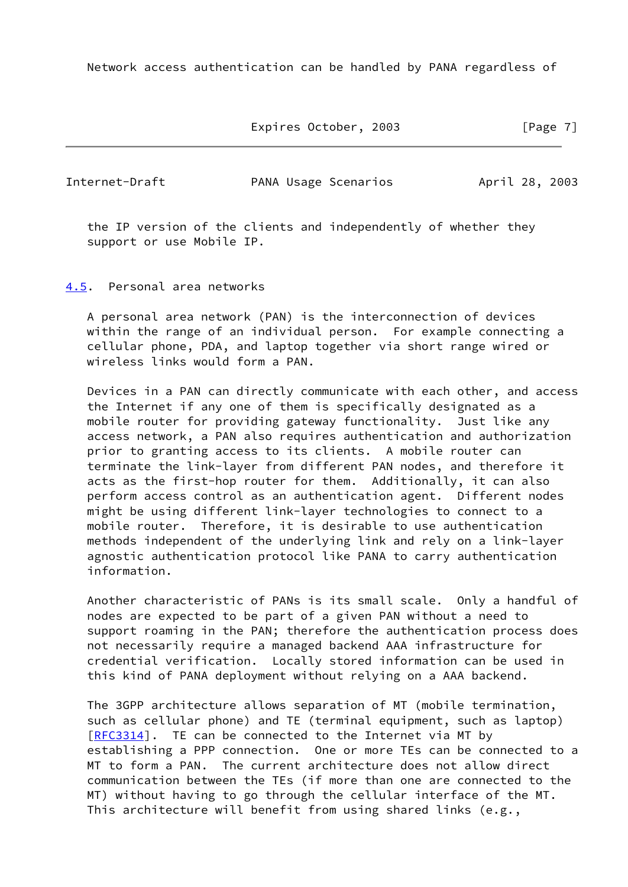Network access authentication can be handled by PANA regardless of

Expires October, 2003 [Page 7]

<span id="page-9-1"></span>

Internet-Draft **PANA Usage Scenarios** April 28, 2003

 the IP version of the clients and independently of whether they support or use Mobile IP.

<span id="page-9-0"></span>[4.5](#page-9-0). Personal area networks

 A personal area network (PAN) is the interconnection of devices within the range of an individual person. For example connecting a cellular phone, PDA, and laptop together via short range wired or wireless links would form a PAN.

 Devices in a PAN can directly communicate with each other, and access the Internet if any one of them is specifically designated as a mobile router for providing gateway functionality. Just like any access network, a PAN also requires authentication and authorization prior to granting access to its clients. A mobile router can terminate the link-layer from different PAN nodes, and therefore it acts as the first-hop router for them. Additionally, it can also perform access control as an authentication agent. Different nodes might be using different link-layer technologies to connect to a mobile router. Therefore, it is desirable to use authentication methods independent of the underlying link and rely on a link-layer agnostic authentication protocol like PANA to carry authentication information.

 Another characteristic of PANs is its small scale. Only a handful of nodes are expected to be part of a given PAN without a need to support roaming in the PAN; therefore the authentication process does not necessarily require a managed backend AAA infrastructure for credential verification. Locally stored information can be used in this kind of PANA deployment without relying on a AAA backend.

 The 3GPP architecture allows separation of MT (mobile termination, such as cellular phone) and TE (terminal equipment, such as laptop) [\[RFC3314](https://datatracker.ietf.org/doc/pdf/rfc3314)]. TE can be connected to the Internet via MT by establishing a PPP connection. One or more TEs can be connected to a MT to form a PAN. The current architecture does not allow direct communication between the TEs (if more than one are connected to the MT) without having to go through the cellular interface of the MT. This architecture will benefit from using shared links (e.g.,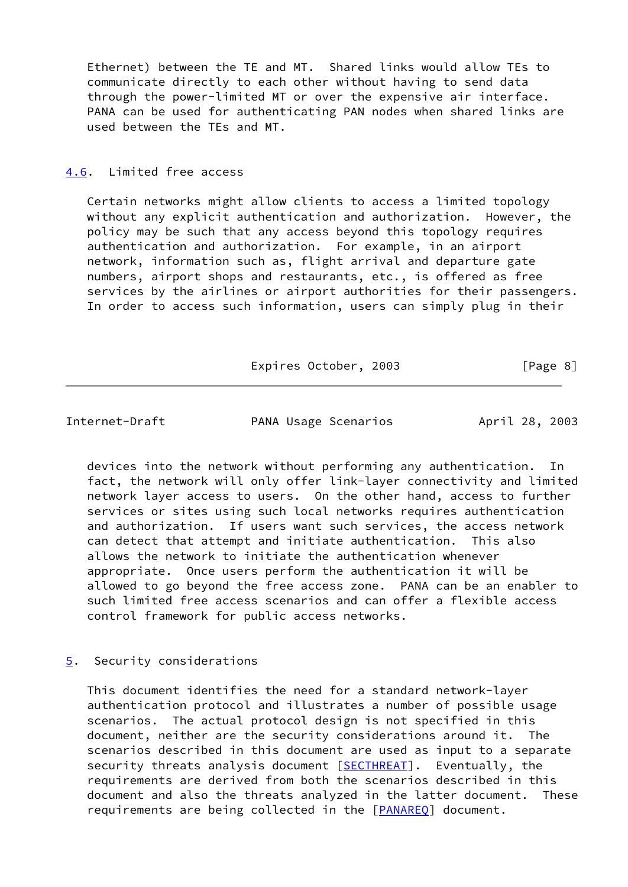Ethernet) between the TE and MT. Shared links would allow TEs to communicate directly to each other without having to send data through the power-limited MT or over the expensive air interface. PANA can be used for authenticating PAN nodes when shared links are used between the TEs and MT.

## <span id="page-10-0"></span>[4.6](#page-10-0). Limited free access

 Certain networks might allow clients to access a limited topology without any explicit authentication and authorization. However, the policy may be such that any access beyond this topology requires authentication and authorization. For example, in an airport network, information such as, flight arrival and departure gate numbers, airport shops and restaurants, etc., is offered as free services by the airlines or airport authorities for their passengers. In order to access such information, users can simply plug in their

Expires October, 2003 [Page 8]

<span id="page-10-2"></span>Internet-Draft **PANA Usage Scenarios** April 28, 2003

 devices into the network without performing any authentication. In fact, the network will only offer link-layer connectivity and limited network layer access to users. On the other hand, access to further services or sites using such local networks requires authentication and authorization. If users want such services, the access network can detect that attempt and initiate authentication. This also allows the network to initiate the authentication whenever appropriate. Once users perform the authentication it will be allowed to go beyond the free access zone. PANA can be an enabler to such limited free access scenarios and can offer a flexible access control framework for public access networks.

## <span id="page-10-1"></span>[5](#page-10-1). Security considerations

 This document identifies the need for a standard network-layer authentication protocol and illustrates a number of possible usage scenarios. The actual protocol design is not specified in this document, neither are the security considerations around it. The scenarios described in this document are used as input to a separate security threats analysis document [[SECTHREAT\]](#page-12-3). Eventually, the requirements are derived from both the scenarios described in this document and also the threats analyzed in the latter document. These requirements are being collected in the [\[PANAREQ](#page-11-6)] document.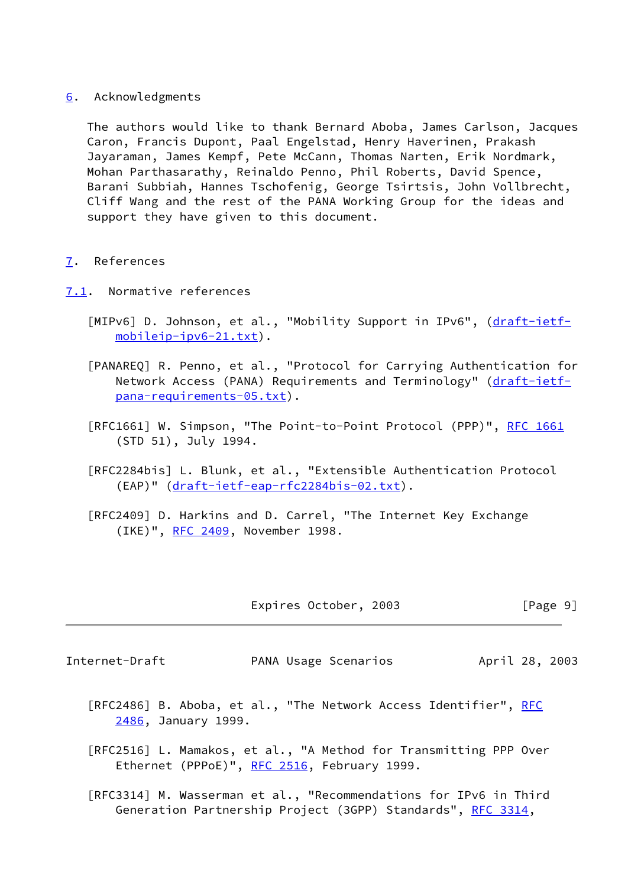#### <span id="page-11-0"></span>[6](#page-11-0). Acknowledgments

 The authors would like to thank Bernard Aboba, James Carlson, Jacques Caron, Francis Dupont, Paal Engelstad, Henry Haverinen, Prakash Jayaraman, James Kempf, Pete McCann, Thomas Narten, Erik Nordmark, Mohan Parthasarathy, Reinaldo Penno, Phil Roberts, David Spence, Barani Subbiah, Hannes Tschofenig, George Tsirtsis, John Vollbrecht, Cliff Wang and the rest of the PANA Working Group for the ideas and support they have given to this document.

## <span id="page-11-1"></span>[7](#page-11-1). References

- <span id="page-11-6"></span><span id="page-11-5"></span><span id="page-11-4"></span><span id="page-11-2"></span>[7.1](#page-11-2). Normative references
	- [MIPv6] D. Johnson, et al., "Mobility Support in IPv6", [\(draft-ietf](https://datatracker.ietf.org/doc/pdf/draft-ietf-mobileip-ipv6-21.txt) [mobileip-ipv6-21.txt\)](https://datatracker.ietf.org/doc/pdf/draft-ietf-mobileip-ipv6-21.txt).
	- [PANAREQ] R. Penno, et al., "Protocol for Carrying Authentication for Network Access (PANA) Requirements and Terminology" [\(draft-ietf](https://datatracker.ietf.org/doc/pdf/draft-ietf-pana-requirements-05.txt) [pana-requirements-05.txt\)](https://datatracker.ietf.org/doc/pdf/draft-ietf-pana-requirements-05.txt).
	- [RFC1661] W. Simpson, "The Point-to-Point Protocol (PPP)", [RFC 1661](https://datatracker.ietf.org/doc/pdf/rfc1661) (STD 51), July 1994.
	- [RFC2284bis] L. Blunk, et al., "Extensible Authentication Protocol (EAP)" ([draft-ietf-eap-rfc2284bis-02.txt\)](https://datatracker.ietf.org/doc/pdf/draft-ietf-eap-rfc2284bis-02.txt).
	- [RFC2409] D. Harkins and D. Carrel, "The Internet Key Exchange (IKE)", [RFC 2409,](https://datatracker.ietf.org/doc/pdf/rfc2409) November 1998.

Expires October, 2003 [Page 9]

<span id="page-11-3"></span>Internet-Draft PANA Usage Scenarios April 28, 2003

- [RFC2486] B. Aboba, et al., "The Network Access Identifier", [RFC](https://datatracker.ietf.org/doc/pdf/rfc2486) [2486,](https://datatracker.ietf.org/doc/pdf/rfc2486) January 1999.
- [RFC2516] L. Mamakos, et al., "A Method for Transmitting PPP Over Ethernet (PPPoE)", [RFC 2516,](https://datatracker.ietf.org/doc/pdf/rfc2516) February 1999.
- [RFC3314] M. Wasserman et al., "Recommendations for IPv6 in Third Generation Partnership Project (3GPP) Standards", [RFC 3314](https://datatracker.ietf.org/doc/pdf/rfc3314),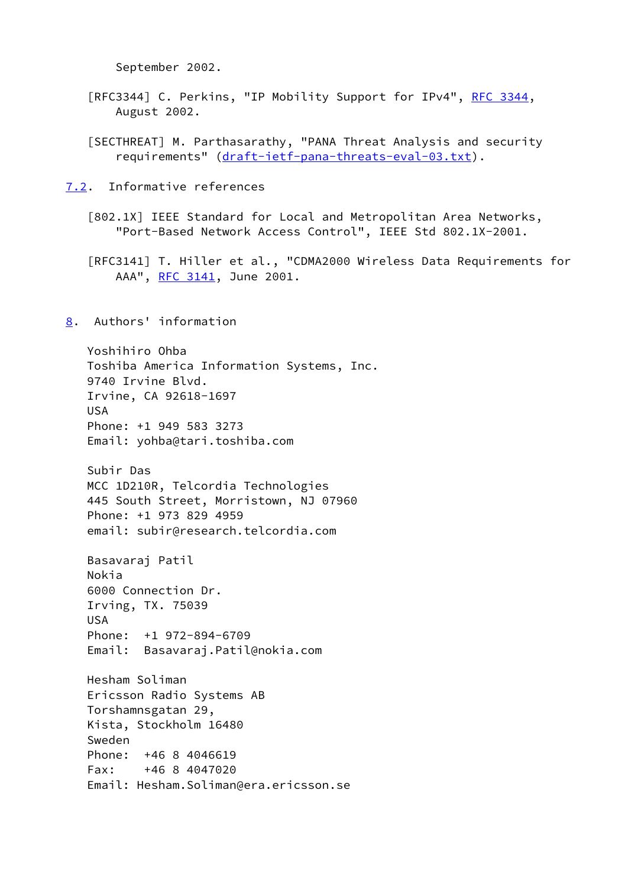September 2002.

- [RFC3344] C. Perkins, "IP Mobility Support for IPv4", [RFC 3344](https://datatracker.ietf.org/doc/pdf/rfc3344), August 2002.
- <span id="page-12-3"></span> [SECTHREAT] M. Parthasarathy, "PANA Threat Analysis and security requirements" ([draft-ietf-pana-threats-eval-03.txt](https://datatracker.ietf.org/doc/pdf/draft-ietf-pana-threats-eval-03.txt)).
- <span id="page-12-0"></span>[7.2](#page-12-0). Informative references

<span id="page-12-2"></span> [802.1X] IEEE Standard for Local and Metropolitan Area Networks, "Port-Based Network Access Control", IEEE Std 802.1X-2001.

 [RFC3141] T. Hiller et al., "CDMA2000 Wireless Data Requirements for AAA", [RFC 3141](https://datatracker.ietf.org/doc/pdf/rfc3141), June 2001.

## <span id="page-12-1"></span>[8](#page-12-1). Authors' information

 Yoshihiro Ohba Toshiba America Information Systems, Inc. 9740 Irvine Blvd. Irvine, CA 92618-1697 USA Phone: +1 949 583 3273 Email: yohba@tari.toshiba.com

 Subir Das MCC 1D210R, Telcordia Technologies 445 South Street, Morristown, NJ 07960 Phone: +1 973 829 4959 email: subir@research.telcordia.com

 Basavaraj Patil Nokia 6000 Connection Dr. Irving, TX. 75039 USA Phone: +1 972-894-6709 Email: Basavaraj.Patil@nokia.com

 Hesham Soliman Ericsson Radio Systems AB Torshamnsgatan 29, Kista, Stockholm 16480 Sweden Phone: +46 8 4046619 Fax: +46 8 4047020 Email: Hesham.Soliman@era.ericsson.se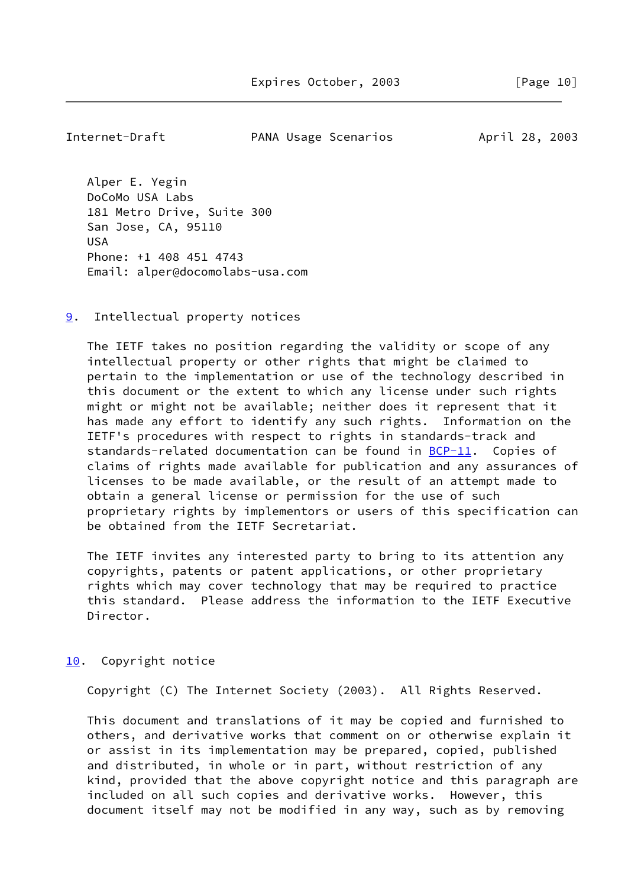<span id="page-13-1"></span>Internet-Draft **PANA Usage Scenarios** April 28, 2003

 Alper E. Yegin DoCoMo USA Labs 181 Metro Drive, Suite 300 San Jose, CA, 95110 USA Phone: +1 408 451 4743 Email: alper@docomolabs-usa.com

<span id="page-13-0"></span>[9](#page-13-0). Intellectual property notices

 The IETF takes no position regarding the validity or scope of any intellectual property or other rights that might be claimed to pertain to the implementation or use of the technology described in this document or the extent to which any license under such rights might or might not be available; neither does it represent that it has made any effort to identify any such rights. Information on the IETF's procedures with respect to rights in standards-track and standards-related documentation can be found in [BCP-11](https://datatracker.ietf.org/doc/pdf/bcp11). Copies of claims of rights made available for publication and any assurances of licenses to be made available, or the result of an attempt made to obtain a general license or permission for the use of such proprietary rights by implementors or users of this specification can be obtained from the IETF Secretariat.

 The IETF invites any interested party to bring to its attention any copyrights, patents or patent applications, or other proprietary rights which may cover technology that may be required to practice this standard. Please address the information to the IETF Executive Director.

<span id="page-13-2"></span>[10.](#page-13-2) Copyright notice

Copyright (C) The Internet Society (2003). All Rights Reserved.

 This document and translations of it may be copied and furnished to others, and derivative works that comment on or otherwise explain it or assist in its implementation may be prepared, copied, published and distributed, in whole or in part, without restriction of any kind, provided that the above copyright notice and this paragraph are included on all such copies and derivative works. However, this document itself may not be modified in any way, such as by removing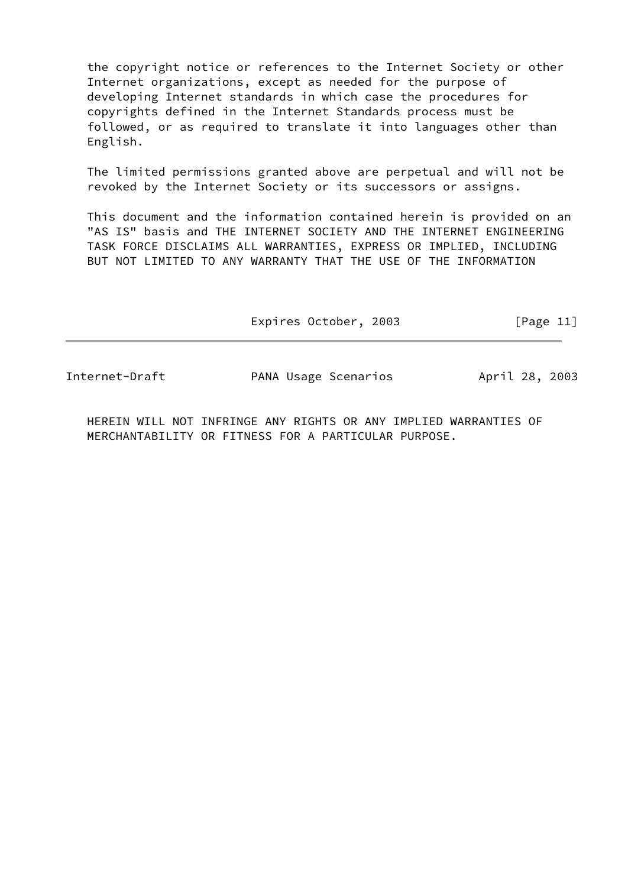the copyright notice or references to the Internet Society or other Internet organizations, except as needed for the purpose of developing Internet standards in which case the procedures for copyrights defined in the Internet Standards process must be followed, or as required to translate it into languages other than English.

 The limited permissions granted above are perpetual and will not be revoked by the Internet Society or its successors or assigns.

 This document and the information contained herein is provided on an "AS IS" basis and THE INTERNET SOCIETY AND THE INTERNET ENGINEERING TASK FORCE DISCLAIMS ALL WARRANTIES, EXPRESS OR IMPLIED, INCLUDING BUT NOT LIMITED TO ANY WARRANTY THAT THE USE OF THE INFORMATION

Expires October, 2003 [Page 11]

Internet-Draft **PANA Usage Scenarios** April 28, 2003

 HEREIN WILL NOT INFRINGE ANY RIGHTS OR ANY IMPLIED WARRANTIES OF MERCHANTABILITY OR FITNESS FOR A PARTICULAR PURPOSE.